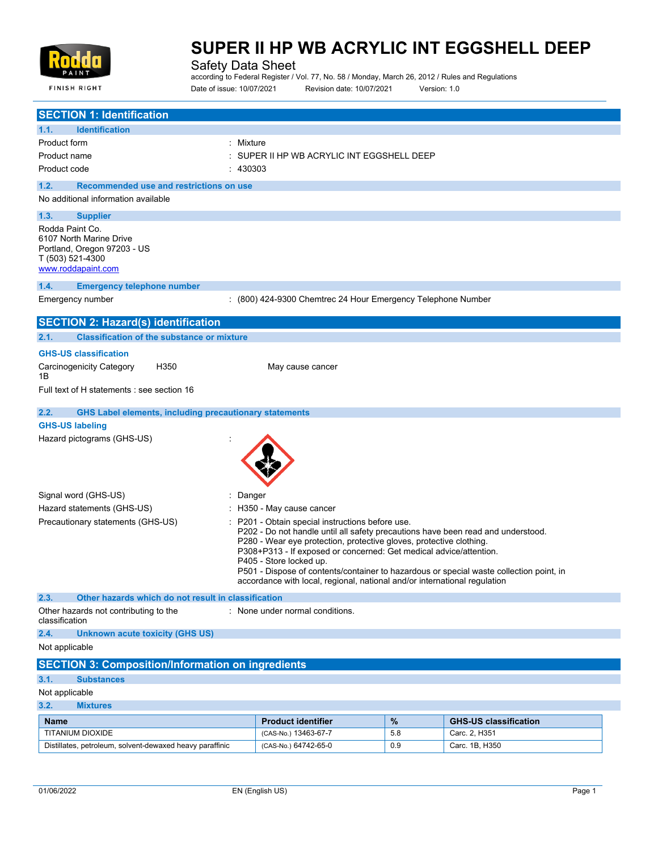

**FINISH RIGHT** 

# **SUPER II HP WB ACRYLIC INT EGGSHELL DEEP**

Safety Data Sheet

according to Federal Register / Vol. 77, No. 58 / Monday, March 26, 2012 / Rules and Regulations Date of issue: 10/07/2021 Revision date: 10/07/2021 Version: 1.0

| <b>SECTION 1: Identification</b>                                                                                                                                                                                                                                                                                                                                                                                                                                                                                        |                                                              |      |                              |
|-------------------------------------------------------------------------------------------------------------------------------------------------------------------------------------------------------------------------------------------------------------------------------------------------------------------------------------------------------------------------------------------------------------------------------------------------------------------------------------------------------------------------|--------------------------------------------------------------|------|------------------------------|
| 1.1.<br><b>Identification</b>                                                                                                                                                                                                                                                                                                                                                                                                                                                                                           |                                                              |      |                              |
| : Mixture<br>Product form<br>Product name                                                                                                                                                                                                                                                                                                                                                                                                                                                                               | SUPER II HP WB ACRYLIC INT EGGSHELL DEEP                     |      |                              |
| 430303<br>Product code                                                                                                                                                                                                                                                                                                                                                                                                                                                                                                  |                                                              |      |                              |
| 1.2.<br>Recommended use and restrictions on use                                                                                                                                                                                                                                                                                                                                                                                                                                                                         |                                                              |      |                              |
| No additional information available                                                                                                                                                                                                                                                                                                                                                                                                                                                                                     |                                                              |      |                              |
| 1.3.<br><b>Supplier</b><br>Rodda Paint Co.<br>6107 North Marine Drive<br>Portland, Oregon 97203 - US<br>T (503) 521-4300<br>www.roddapaint.com                                                                                                                                                                                                                                                                                                                                                                          |                                                              |      |                              |
| 1.4.<br><b>Emergency telephone number</b>                                                                                                                                                                                                                                                                                                                                                                                                                                                                               |                                                              |      |                              |
| Emergency number                                                                                                                                                                                                                                                                                                                                                                                                                                                                                                        | : (800) 424-9300 Chemtrec 24 Hour Emergency Telephone Number |      |                              |
| <b>SECTION 2: Hazard(s) identification</b>                                                                                                                                                                                                                                                                                                                                                                                                                                                                              |                                                              |      |                              |
| 2.1.<br><b>Classification of the substance or mixture</b>                                                                                                                                                                                                                                                                                                                                                                                                                                                               |                                                              |      |                              |
| <b>GHS-US classification</b>                                                                                                                                                                                                                                                                                                                                                                                                                                                                                            |                                                              |      |                              |
| Carcinogenicity Category<br>H350<br>1Β                                                                                                                                                                                                                                                                                                                                                                                                                                                                                  | May cause cancer                                             |      |                              |
| Full text of H statements : see section 16                                                                                                                                                                                                                                                                                                                                                                                                                                                                              |                                                              |      |                              |
| 2.2.<br><b>GHS Label elements, including precautionary statements</b>                                                                                                                                                                                                                                                                                                                                                                                                                                                   |                                                              |      |                              |
| <b>GHS-US labeling</b>                                                                                                                                                                                                                                                                                                                                                                                                                                                                                                  |                                                              |      |                              |
| Hazard pictograms (GHS-US)                                                                                                                                                                                                                                                                                                                                                                                                                                                                                              |                                                              |      |                              |
| Signal word (GHS-US)<br>: Danger                                                                                                                                                                                                                                                                                                                                                                                                                                                                                        |                                                              |      |                              |
| Hazard statements (GHS-US)                                                                                                                                                                                                                                                                                                                                                                                                                                                                                              | : H350 - May cause cancer                                    |      |                              |
| Precautionary statements (GHS-US)<br>P201 - Obtain special instructions before use.<br>P202 - Do not handle until all safety precautions have been read and understood.<br>P280 - Wear eye protection, protective gloves, protective clothing.<br>P308+P313 - If exposed or concerned: Get medical advice/attention.<br>P405 - Store locked up.<br>P501 - Dispose of contents/container to hazardous or special waste collection point, in<br>accordance with local, regional, national and/or international regulation |                                                              |      |                              |
| 2.3.<br>Other hazards which do not result in classification                                                                                                                                                                                                                                                                                                                                                                                                                                                             |                                                              |      |                              |
| Other hazards not contributing to the<br>classification                                                                                                                                                                                                                                                                                                                                                                                                                                                                 | : None under normal conditions.                              |      |                              |
| 2.4.<br><b>Unknown acute toxicity (GHS US)</b>                                                                                                                                                                                                                                                                                                                                                                                                                                                                          |                                                              |      |                              |
| Not applicable                                                                                                                                                                                                                                                                                                                                                                                                                                                                                                          |                                                              |      |                              |
| <b>SECTION 3: Composition/Information on ingredients</b>                                                                                                                                                                                                                                                                                                                                                                                                                                                                |                                                              |      |                              |
| 3.1.<br><b>Substances</b>                                                                                                                                                                                                                                                                                                                                                                                                                                                                                               |                                                              |      |                              |
| Not applicable                                                                                                                                                                                                                                                                                                                                                                                                                                                                                                          |                                                              |      |                              |
| 3.2.<br><b>Mixtures</b>                                                                                                                                                                                                                                                                                                                                                                                                                                                                                                 |                                                              |      |                              |
| <b>Name</b>                                                                                                                                                                                                                                                                                                                                                                                                                                                                                                             | <b>Product identifier</b>                                    | $\%$ | <b>GHS-US classification</b> |
| TITANIUM DIOXIDE                                                                                                                                                                                                                                                                                                                                                                                                                                                                                                        | (CAS-No.) 13463-67-7                                         | 5.8  | Carc. 2, H351                |
| Distillates, petroleum, solvent-dewaxed heavy paraffinic                                                                                                                                                                                                                                                                                                                                                                                                                                                                | (CAS-No.) 64742-65-0                                         | 0.9  | Carc. 1B, H350               |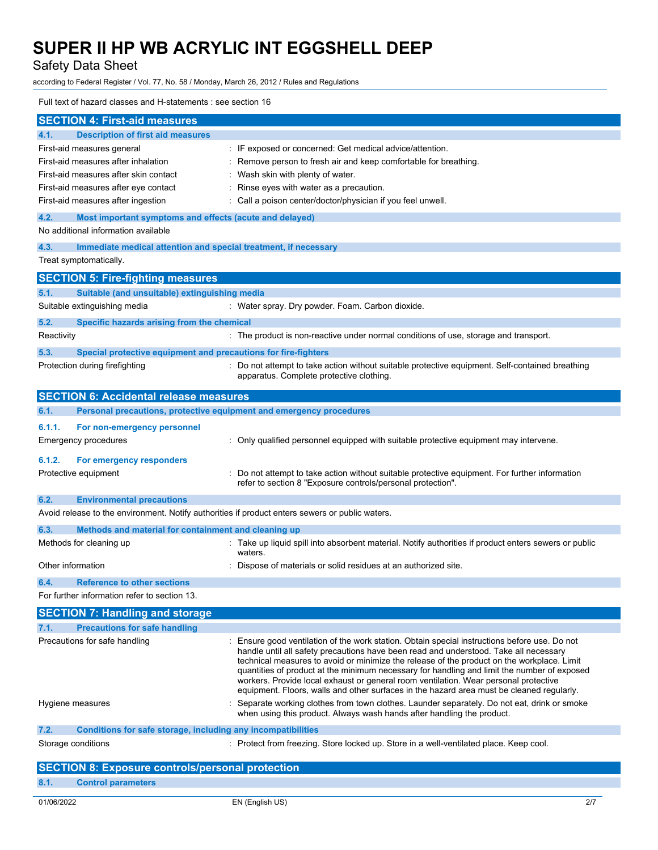Safety Data Sheet

according to Federal Register / Vol. 77, No. 58 / Monday, March 26, 2012 / Rules and Regulations

### Full text of hazard classes and H-statements : see section 16

| <b>SECTION 4: First-aid measures</b>                                                                                                                                                                                                                                                                                                                                                                                                                                                                                                                                                                      |  |  |
|-----------------------------------------------------------------------------------------------------------------------------------------------------------------------------------------------------------------------------------------------------------------------------------------------------------------------------------------------------------------------------------------------------------------------------------------------------------------------------------------------------------------------------------------------------------------------------------------------------------|--|--|
| <b>Description of first aid measures</b><br>4.1.                                                                                                                                                                                                                                                                                                                                                                                                                                                                                                                                                          |  |  |
| First-aid measures general<br>: IF exposed or concerned: Get medical advice/attention.                                                                                                                                                                                                                                                                                                                                                                                                                                                                                                                    |  |  |
| First-aid measures after inhalation<br>: Remove person to fresh air and keep comfortable for breathing.                                                                                                                                                                                                                                                                                                                                                                                                                                                                                                   |  |  |
| First-aid measures after skin contact<br>: Wash skin with plenty of water.                                                                                                                                                                                                                                                                                                                                                                                                                                                                                                                                |  |  |
| First-aid measures after eye contact<br>: Rinse eyes with water as a precaution.                                                                                                                                                                                                                                                                                                                                                                                                                                                                                                                          |  |  |
| First-aid measures after ingestion<br>: Call a poison center/doctor/physician if you feel unwell.                                                                                                                                                                                                                                                                                                                                                                                                                                                                                                         |  |  |
| 4.2.<br>Most important symptoms and effects (acute and delayed)                                                                                                                                                                                                                                                                                                                                                                                                                                                                                                                                           |  |  |
| No additional information available                                                                                                                                                                                                                                                                                                                                                                                                                                                                                                                                                                       |  |  |
| 4.3.<br>Immediate medical attention and special treatment, if necessary                                                                                                                                                                                                                                                                                                                                                                                                                                                                                                                                   |  |  |
| Treat symptomatically.                                                                                                                                                                                                                                                                                                                                                                                                                                                                                                                                                                                    |  |  |
| <b>SECTION 5: Fire-fighting measures</b>                                                                                                                                                                                                                                                                                                                                                                                                                                                                                                                                                                  |  |  |
| Suitable (and unsuitable) extinguishing media<br>5.1.                                                                                                                                                                                                                                                                                                                                                                                                                                                                                                                                                     |  |  |
| Suitable extinguishing media<br>: Water spray. Dry powder. Foam. Carbon dioxide.                                                                                                                                                                                                                                                                                                                                                                                                                                                                                                                          |  |  |
| 5.2.<br>Specific hazards arising from the chemical                                                                                                                                                                                                                                                                                                                                                                                                                                                                                                                                                        |  |  |
| Reactivity<br>: The product is non-reactive under normal conditions of use, storage and transport.                                                                                                                                                                                                                                                                                                                                                                                                                                                                                                        |  |  |
| 5.3.<br>Special protective equipment and precautions for fire-fighters                                                                                                                                                                                                                                                                                                                                                                                                                                                                                                                                    |  |  |
| : Do not attempt to take action without suitable protective equipment. Self-contained breathing<br>Protection during firefighting<br>apparatus. Complete protective clothing.                                                                                                                                                                                                                                                                                                                                                                                                                             |  |  |
| <b>SECTION 6: Accidental release measures</b>                                                                                                                                                                                                                                                                                                                                                                                                                                                                                                                                                             |  |  |
| Personal precautions, protective equipment and emergency procedures<br>6.1.                                                                                                                                                                                                                                                                                                                                                                                                                                                                                                                               |  |  |
| 6.1.1.<br>For non-emergency personnel                                                                                                                                                                                                                                                                                                                                                                                                                                                                                                                                                                     |  |  |
| : Only qualified personnel equipped with suitable protective equipment may intervene.<br>Emergency procedures                                                                                                                                                                                                                                                                                                                                                                                                                                                                                             |  |  |
| 6.1.2.<br>For emergency responders                                                                                                                                                                                                                                                                                                                                                                                                                                                                                                                                                                        |  |  |
| Protective equipment<br>: Do not attempt to take action without suitable protective equipment. For further information<br>refer to section 8 "Exposure controls/personal protection".                                                                                                                                                                                                                                                                                                                                                                                                                     |  |  |
| 6.2.<br><b>Environmental precautions</b>                                                                                                                                                                                                                                                                                                                                                                                                                                                                                                                                                                  |  |  |
| Avoid release to the environment. Notify authorities if product enters sewers or public waters.                                                                                                                                                                                                                                                                                                                                                                                                                                                                                                           |  |  |
| 6.3.<br>Methods and material for containment and cleaning up                                                                                                                                                                                                                                                                                                                                                                                                                                                                                                                                              |  |  |
| : Take up liquid spill into absorbent material. Notify authorities if product enters sewers or public<br>Methods for cleaning up<br>waters.                                                                                                                                                                                                                                                                                                                                                                                                                                                               |  |  |
| Other information<br>Dispose of materials or solid residues at an authorized site.                                                                                                                                                                                                                                                                                                                                                                                                                                                                                                                        |  |  |
| 6.4.<br><b>Reference to other sections</b>                                                                                                                                                                                                                                                                                                                                                                                                                                                                                                                                                                |  |  |
| For further information refer to section 13.                                                                                                                                                                                                                                                                                                                                                                                                                                                                                                                                                              |  |  |
| <b>SECTION 7: Handling and storage</b>                                                                                                                                                                                                                                                                                                                                                                                                                                                                                                                                                                    |  |  |
| 7.1.<br><b>Precautions for safe handling</b>                                                                                                                                                                                                                                                                                                                                                                                                                                                                                                                                                              |  |  |
| Precautions for safe handling<br>: Ensure good ventilation of the work station. Obtain special instructions before use. Do not<br>handle until all safety precautions have been read and understood. Take all necessary<br>technical measures to avoid or minimize the release of the product on the workplace. Limit<br>quantities of product at the minimum necessary for handling and limit the number of exposed<br>workers. Provide local exhaust or general room ventilation. Wear personal protective<br>equipment. Floors, walls and other surfaces in the hazard area must be cleaned regularly. |  |  |
| Separate working clothes from town clothes. Launder separately. Do not eat, drink or smoke<br>Hygiene measures<br>when using this product. Always wash hands after handling the product.                                                                                                                                                                                                                                                                                                                                                                                                                  |  |  |
| 7.2.<br>Conditions for safe storage, including any incompatibilities                                                                                                                                                                                                                                                                                                                                                                                                                                                                                                                                      |  |  |
| Storage conditions<br>: Protect from freezing. Store locked up. Store in a well-ventilated place. Keep cool.                                                                                                                                                                                                                                                                                                                                                                                                                                                                                              |  |  |
| <b>SECTION 8: Exposure controls/personal protection</b>                                                                                                                                                                                                                                                                                                                                                                                                                                                                                                                                                   |  |  |
| 8.1.<br><b>Control parameters</b>                                                                                                                                                                                                                                                                                                                                                                                                                                                                                                                                                                         |  |  |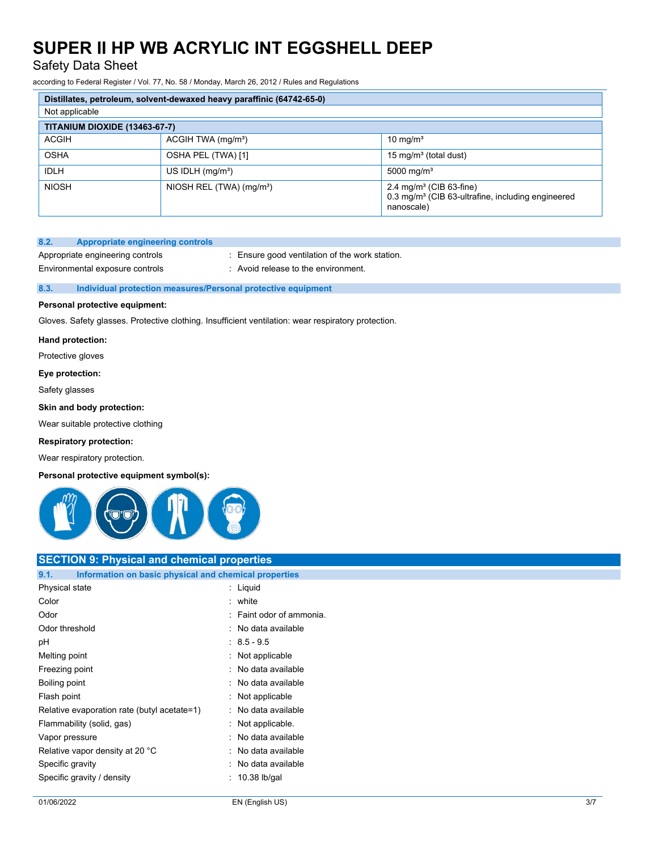Safety Data Sheet

according to Federal Register / Vol. 77, No. 58 / Monday, March 26, 2012 / Rules and Regulations

| Distillates, petroleum, solvent-dewaxed heavy paraffinic (64742-65-0) |                                      |                                                                                                           |  |
|-----------------------------------------------------------------------|--------------------------------------|-----------------------------------------------------------------------------------------------------------|--|
| Not applicable                                                        |                                      |                                                                                                           |  |
| <b>TITANIUM DIOXIDE (13463-67-7)</b>                                  |                                      |                                                                                                           |  |
| <b>ACGIH</b>                                                          | ACGIH TWA (mg/m <sup>3</sup> )       | 10 mg/ $m3$                                                                                               |  |
| <b>OSHA</b>                                                           | OSHA PEL (TWA) [1]                   | 15 mg/m <sup>3</sup> (total dust)                                                                         |  |
| <b>IDLH</b>                                                           | US IDLH $(mg/m3)$                    | 5000 mg/m <sup>3</sup>                                                                                    |  |
| <b>NIOSH</b>                                                          | NIOSH REL (TWA) (mg/m <sup>3</sup> ) | 2.4 mg/m $3$ (CIB 63-fine)<br>0.3 mg/m <sup>3</sup> (CIB 63-ultrafine, including engineered<br>nanoscale) |  |

# **8.2. Appropriate engineering controls**

Appropriate engineering controls : Ensure good ventilation of the work station.

Environmental exposure controls : Avoid release to the environment.

### **8.3. Individual protection measures/Personal protective equipment**

### **Personal protective equipment:**

Gloves. Safety glasses. Protective clothing. Insufficient ventilation: wear respiratory protection.

#### **Hand protection:**

Protective gloves

#### **Eye protection:**

Safety glasses

### **Skin and body protection:**

Wear suitable protective clothing

### **Respiratory protection:**

Wear respiratory protection.

#### **Personal protective equipment symbol(s):**



# **SECTION 9: Physical and chemical properties**

| Information on basic physical and chemical properties<br>9.1. |                        |
|---------------------------------------------------------------|------------------------|
| Physical state                                                | Liquid                 |
| Color                                                         | white                  |
| Odor                                                          | Faint odor of ammonia. |
| Odor threshold                                                | No data available      |
| рH                                                            | $: 8.5 - 9.5$          |
| Melting point                                                 | Not applicable         |
| Freezing point                                                | No data available      |
| Boiling point                                                 | No data available      |
| Flash point                                                   | Not applicable         |
| Relative evaporation rate (butyl acetate=1)                   | No data available      |
| Flammability (solid, gas)                                     | Not applicable.        |
| Vapor pressure                                                | No data available      |
| Relative vapor density at 20 °C                               | No data available      |
| Specific gravity                                              | No data available      |
| Specific gravity / density                                    | 10.38 lb/gal           |
|                                                               |                        |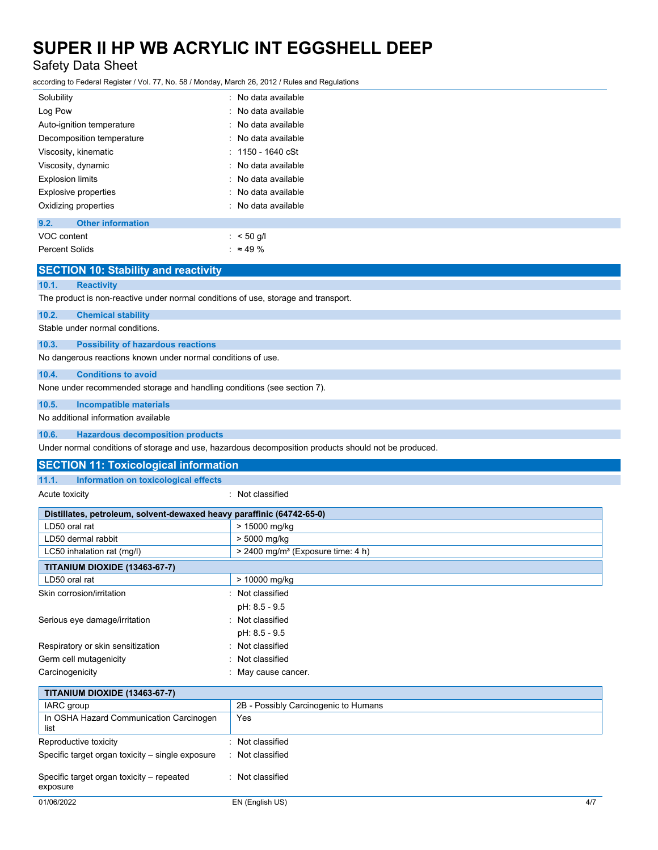# Safety Data Sheet

according to Federal Register / Vol. 77, No. 58 / Monday, March 26, 2012 / Rules and Regulations

| Solubility                       | : No data available         |
|----------------------------------|-----------------------------|
| Log Pow                          | : No data available         |
| Auto-ignition temperature        | : No data available         |
| Decomposition temperature        | : No data available         |
| Viscosity, kinematic             | $: 1150 - 1640 \text{ cSt}$ |
| Viscosity, dynamic               | : No data available         |
| <b>Explosion limits</b>          | : No data available         |
| Explosive properties             | : No data available         |
| Oxidizing properties             | : No data available         |
| 9.2.<br><b>Other information</b> |                             |
| VOC content                      | : $< 50$ g/l                |
| Percent Solids                   | : $\approx 49 \%$           |

|       | <b>SECTION 10: Stability and reactivity</b>                                        |
|-------|------------------------------------------------------------------------------------|
| 10.1. | <b>Reactivity</b>                                                                  |
|       | The product is non-reactive under normal conditions of use, storage and transport. |
| 10.2. | <b>Chemical stability</b>                                                          |
|       | Stable under normal conditions.                                                    |
| 10.3. | <b>Possibility of hazardous reactions</b>                                          |
|       | No dangerous reactions known under normal conditions of use.                       |
| 10.4. | <b>Conditions to avoid</b>                                                         |
|       | None under recommended storage and handling conditions (see section 7).            |
| 10.5. | <b>Incompatible materials</b>                                                      |
|       | No additional information available                                                |
| 10.6. | <b>Hazardous decomposition products</b>                                            |
|       |                                                                                    |

Under normal conditions of storage and use, hazardous decomposition products should not be produced.

| <b>SECTION 11: Toxicological information</b>                          |                                                 |
|-----------------------------------------------------------------------|-------------------------------------------------|
| Information on toxicological effects<br>11.1.                         |                                                 |
| Acute toxicity                                                        | : Not classified                                |
| Distillates, petroleum, solvent-dewaxed heavy paraffinic (64742-65-0) |                                                 |
| LD50 oral rat                                                         | > 15000 mg/kg                                   |
| LD50 dermal rabbit                                                    | > 5000 mg/kg                                    |
| LC50 inhalation rat (mg/l)                                            | $>$ 2400 mg/m <sup>3</sup> (Exposure time: 4 h) |
| <b>TITANIUM DIOXIDE (13463-67-7)</b>                                  |                                                 |
| LD50 oral rat                                                         | > 10000 mg/kg                                   |
| Skin corrosion/irritation                                             | : Not classified                                |
|                                                                       | pH: 8.5 - 9.5                                   |
| Serious eye damage/irritation                                         | : Not classified                                |
|                                                                       | pH: 8.5 - 9.5                                   |
| Respiratory or skin sensitization                                     | : Not classified                                |
| Germ cell mutagenicity                                                | : Not classified                                |
| Carcinogenicity                                                       | : May cause cancer.                             |
| <b>TITANIUM DIOXIDE (13463-67-7)</b>                                  |                                                 |
| <b>IARC</b> group                                                     | 2B - Possibly Carcinogenic to Humans            |
| In OSHA Hazard Communication Carcinogen                               | Yes                                             |
| list                                                                  |                                                 |
| Reproductive toxicity                                                 | : Not classified                                |
| Specific target organ toxicity - single exposure                      | : Not classified                                |
|                                                                       |                                                 |
| Specific target organ toxicity – repeated<br>exposure                 | : Not classified                                |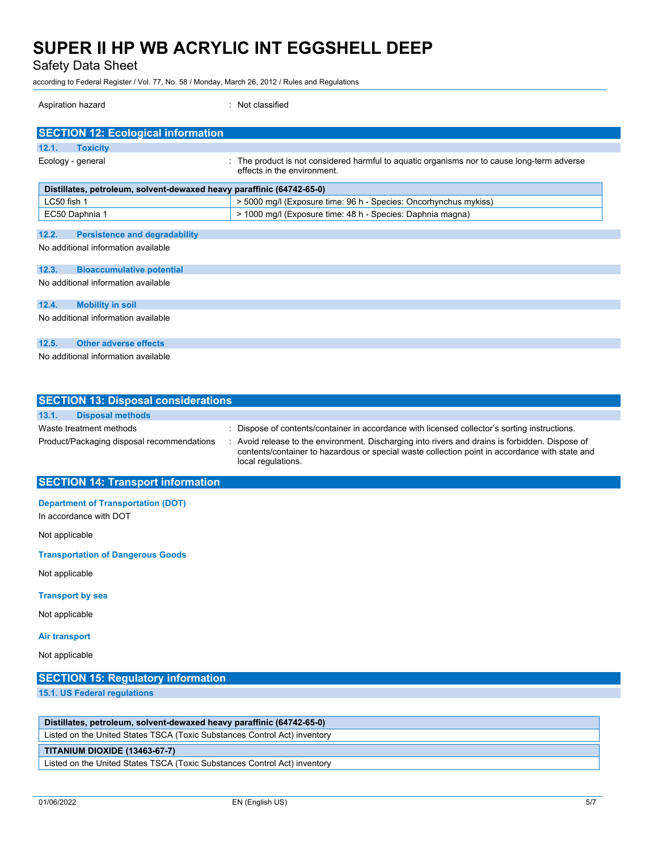Safety Data Sheet

according to Federal Register / Vol. 77, No. 58 / Monday, March 26, 2012 / Rules and Regulations

| Aspiration hazard                                                                    | : Not classified                                                                                                           |  |  |
|--------------------------------------------------------------------------------------|----------------------------------------------------------------------------------------------------------------------------|--|--|
| <b>SECTION 12: Ecological information</b>                                            |                                                                                                                            |  |  |
| 12.1.<br><b>Toxicity</b>                                                             |                                                                                                                            |  |  |
| Ecology - general                                                                    | : The product is not considered harmful to aquatic organisms nor to cause long-term adverse<br>effects in the environment. |  |  |
| Distillates, petroleum, solvent-dewaxed heavy paraffinic (64742-65-0)                |                                                                                                                            |  |  |
| LC50 fish 1                                                                          | > 5000 mg/l (Exposure time: 96 h - Species: Oncorhynchus mykiss)                                                           |  |  |
| EC50 Daphnia 1                                                                       | > 1000 mg/l (Exposure time: 48 h - Species: Daphnia magna)                                                                 |  |  |
| 12.2.<br><b>Persistence and degradability</b><br>No additional information available |                                                                                                                            |  |  |
|                                                                                      |                                                                                                                            |  |  |
| 12.3.<br><b>Bioaccumulative potential</b>                                            |                                                                                                                            |  |  |
| No additional information available                                                  |                                                                                                                            |  |  |
| 12.4.<br><b>Mobility in soil</b>                                                     |                                                                                                                            |  |  |
| No additional information available                                                  |                                                                                                                            |  |  |
| 12.5.<br><b>Other adverse effects</b>                                                |                                                                                                                            |  |  |
| No additional information available                                                  |                                                                                                                            |  |  |

| <b>SECTION 13: Disposal considerations</b> |                                                                                                                                                                                                                         |
|--------------------------------------------|-------------------------------------------------------------------------------------------------------------------------------------------------------------------------------------------------------------------------|
| 13.1.<br><b>Disposal methods</b>           |                                                                                                                                                                                                                         |
| Waste treatment methods                    | : Dispose of contents/container in accordance with licensed collector's sorting instructions.                                                                                                                           |
| Product/Packaging disposal recommendations | : Avoid release to the environment. Discharging into rivers and drains is forbidden. Dispose of<br>contents/container to hazardous or special waste collection point in accordance with state and<br>local regulations. |
| <b>SECTION 14: Transport information</b>   |                                                                                                                                                                                                                         |

**Department of Transportation (DOT)**

In accordance with DOT

Not applicable

**Transportation of Dangerous Goods**

Not applicable

# **Transport by sea**

Not applicable

#### **Air transport**

Not applicable

# **SECTION 15: Regulatory information**

**15.1. US Federal regulations**

**Distillates, petroleum, solvent-dewaxed heavy paraffinic (64742-65-0)**

Listed on the United States TSCA (Toxic Substances Control Act) inventory

### **TITANIUM DIOXIDE (13463-67-7)**

Listed on the United States TSCA (Toxic Substances Control Act) inventory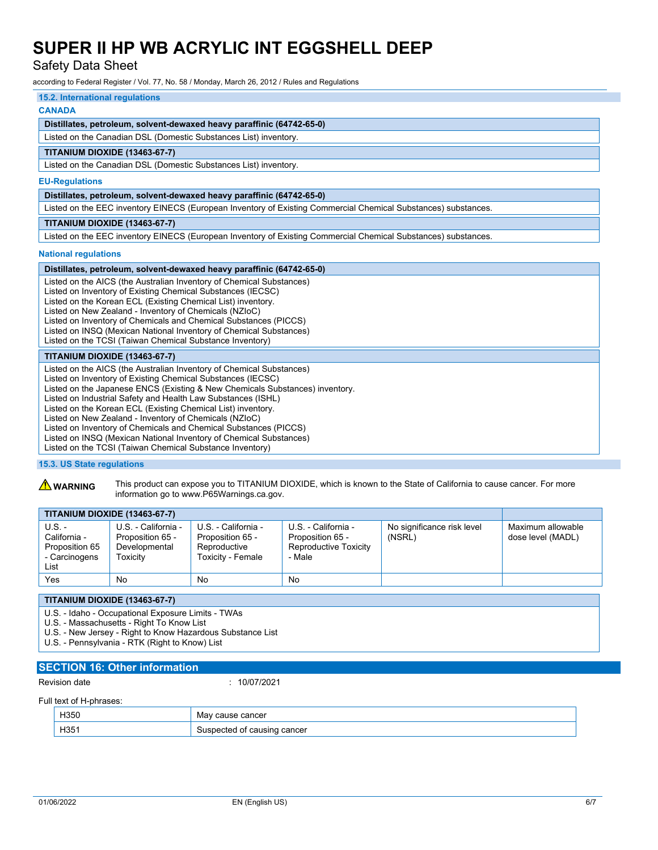Safety Data Sheet

according to Federal Register / Vol. 77, No. 58 / Monday, March 26, 2012 / Rules and Regulations

# **15.2. International regulations**

# **CANADA**

# **Distillates, petroleum, solvent-dewaxed heavy paraffinic (64742-65-0)**

Listed on the Canadian DSL (Domestic Substances List) inventory.

## **TITANIUM DIOXIDE (13463-67-7)**

Listed on the Canadian DSL (Domestic Substances List) inventory.

#### **EU-Regulations**

**Distillates, petroleum, solvent-dewaxed heavy paraffinic (64742-65-0)**

Listed on the EEC inventory EINECS (European Inventory of Existing Commercial Chemical Substances) substances.

### **TITANIUM DIOXIDE (13463-67-7)**

Listed on the EEC inventory EINECS (European Inventory of Existing Commercial Chemical Substances) substances.

#### **National regulations**

| Distillates, petroleum, solvent-dewaxed heavy paraffinic (64742-65-0)                                                                                                                                                                                                                                                                                                                                                                                                                                                                                                                                               |
|---------------------------------------------------------------------------------------------------------------------------------------------------------------------------------------------------------------------------------------------------------------------------------------------------------------------------------------------------------------------------------------------------------------------------------------------------------------------------------------------------------------------------------------------------------------------------------------------------------------------|
| Listed on the AICS (the Australian Inventory of Chemical Substances)<br>Listed on Inventory of Existing Chemical Substances (IECSC)<br>Listed on the Korean ECL (Existing Chemical List) inventory.<br>Listed on New Zealand - Inventory of Chemicals (NZloC)<br>Listed on Inventory of Chemicals and Chemical Substances (PICCS)<br>Listed on INSQ (Mexican National Inventory of Chemical Substances)<br>Listed on the TCSI (Taiwan Chemical Substance Inventory)                                                                                                                                                 |
| <b>TITANIUM DIOXIDE (13463-67-7)</b>                                                                                                                                                                                                                                                                                                                                                                                                                                                                                                                                                                                |
| Listed on the AICS (the Australian Inventory of Chemical Substances)<br>Listed on Inventory of Existing Chemical Substances (IECSC)<br>Listed on the Japanese ENCS (Existing & New Chemicals Substances) inventory.<br>Listed on Industrial Safety and Health Law Substances (ISHL)<br>Listed on the Korean ECL (Existing Chemical List) inventory.<br>Listed on New Zealand - Inventory of Chemicals (NZIoC)<br>Listed on Inventory of Chemicals and Chemical Substances (PICCS)<br>Listed on INSQ (Mexican National Inventory of Chemical Substances)<br>Listed on the TCSI (Taiwan Chemical Substance Inventory) |

### **15.3. US State regulations**

**A WARNING** This product can expose you to TITANIUM DIOXIDE, which is known to the State of California to cause cancer. For more information go to www.P65Warnings.ca.gov.

|                                                                     | <b>TITANIUM DIOXIDE (13463-67-7)</b>                                 |                                                                              |                                                                            |                                      |                                        |
|---------------------------------------------------------------------|----------------------------------------------------------------------|------------------------------------------------------------------------------|----------------------------------------------------------------------------|--------------------------------------|----------------------------------------|
| $U.S. -$<br>California -<br>Proposition 65<br>- Carcinogens<br>List | U.S. - California -<br>Proposition 65 -<br>Developmental<br>Гохісіtv | U.S. - California -<br>Proposition 65 -<br>Reproductive<br>Toxicity - Female | U.S. - California -<br>Proposition 65 -<br>Reproductive Toxicity<br>- Male | No significance risk level<br>(NSRL) | Maximum allowable<br>dose level (MADL) |
| Yes                                                                 | No                                                                   | No                                                                           | No                                                                         |                                      |                                        |

**TITANIUM DIOXIDE (13463-67-7)**

U.S. - Idaho - Occupational Exposure Limits - TWAs

U.S. - Massachusetts - Right To Know List

U.S. - New Jersey - Right to Know Hazardous Substance List

U.S. - Pennsylvania - RTK (Right to Know) List

# **SECTION 16: Other information**

Revision date : 10/07/2021

#### Full text of H-phrases:

| 105 <sub>5</sub> | cancer                  |
|------------------|-------------------------|
| ႹᲙჂႱ             | <b>IVIO</b>             |
| .                | ___                     |
| H35              | cancer<br>∩t<br>causinu |